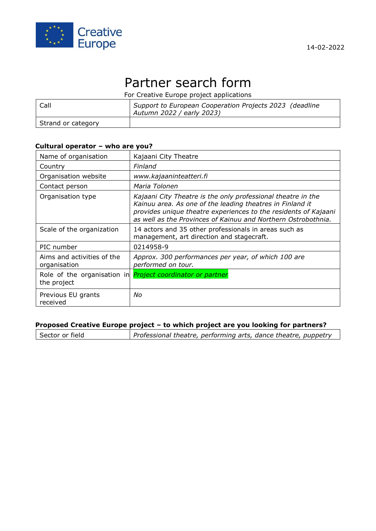

#### 14-02-2022

# Partner search form

For Creative Europe project applications

| Call               | Support to European Cooperation Projects 2023 (deadline<br>Autumn 2022 / early 2023) |
|--------------------|--------------------------------------------------------------------------------------|
| Strand or category |                                                                                      |

## **Cultural operator – who are you?**

| Name of organisation                       | Kajaani City Theatre                                                                                                                                                                                                                                          |
|--------------------------------------------|---------------------------------------------------------------------------------------------------------------------------------------------------------------------------------------------------------------------------------------------------------------|
| Country                                    | Finland                                                                                                                                                                                                                                                       |
| Organisation website                       | www.kajaaninteatteri.fi                                                                                                                                                                                                                                       |
| Contact person                             | Maria Tolonen                                                                                                                                                                                                                                                 |
| Organisation type                          | Kajaani City Theatre is the only professional theatre in the<br>Kainuu area. As one of the leading theatres in Finland it<br>provides unique theatre experiences to the residents of Kajaani<br>as well as the Provinces of Kainuu and Northern Ostrobothnia. |
| Scale of the organization                  | 14 actors and 35 other professionals in areas such as<br>management, art direction and stagecraft.                                                                                                                                                            |
| PIC number                                 | 0214958-9                                                                                                                                                                                                                                                     |
| Aims and activities of the<br>organisation | Approx. 300 performances per year, of which 100 are<br>performed on tour.                                                                                                                                                                                     |
| Role of the organisation in<br>the project | Project coordinator or partner                                                                                                                                                                                                                                |
| Previous EU grants<br>received             | No                                                                                                                                                                                                                                                            |

## **Proposed Creative Europe project – to which project are you looking for partners?**

Sector or field *Professional theatre, performing arts, dance theatre, puppetry*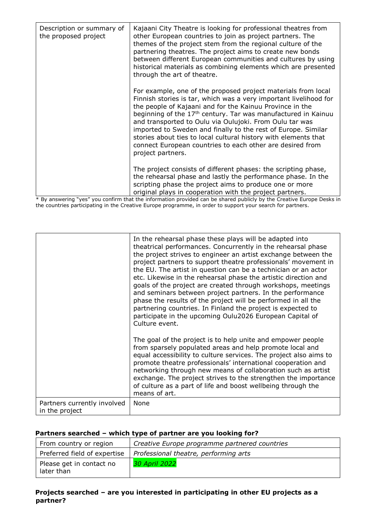| Description or summary of<br>the proposed project | Kajaani City Theatre is looking for professional theatres from<br>other European countries to join as project partners. The<br>themes of the project stem from the regional culture of the<br>partnering theatres. The project aims to create new bonds<br>between different European communities and cultures by using<br>historical materials as combining elements which are presented<br>through the art of theatre.                                                                                                                                     |
|---------------------------------------------------|--------------------------------------------------------------------------------------------------------------------------------------------------------------------------------------------------------------------------------------------------------------------------------------------------------------------------------------------------------------------------------------------------------------------------------------------------------------------------------------------------------------------------------------------------------------|
|                                                   | For example, one of the proposed project materials from local<br>Finnish stories is tar, which was a very important livelihood for<br>the people of Kajaani and for the Kainuu Province in the<br>beginning of the 17 <sup>th</sup> century. Tar was manufactured in Kainuu<br>and transported to Oulu via Oulujoki. From Oulu tar was<br>imported to Sweden and finally to the rest of Europe. Similar<br>stories about ties to local cultural history with elements that<br>connect European countries to each other are desired from<br>project partners. |
|                                                   | The project consists of different phases: the scripting phase,<br>the rehearsal phase and lastly the performance phase. In the<br>scripting phase the project aims to produce one or more<br>original plays in cooperation with the project partners.                                                                                                                                                                                                                                                                                                        |

\* By answering "yes" you confirm that the information provided can be shared publicly by the Creative Europe Desks in the countries participating in the Creative Europe programme, in order to support your search for partners.

|                                               | In the rehearsal phase these plays will be adapted into<br>theatrical performances. Concurrently in the rehearsal phase<br>the project strives to engineer an artist exchange between the<br>project partners to support theatre professionals' movement in<br>the EU. The artist in question can be a technician or an actor<br>etc. Likewise in the rehearsal phase the artistic direction and<br>goals of the project are created through workshops, meetings<br>and seminars between project partners. In the performance<br>phase the results of the project will be performed in all the<br>partnering countries. In Finland the project is expected to<br>participate in the upcoming Oulu2026 European Capital of<br>Culture event. |
|-----------------------------------------------|---------------------------------------------------------------------------------------------------------------------------------------------------------------------------------------------------------------------------------------------------------------------------------------------------------------------------------------------------------------------------------------------------------------------------------------------------------------------------------------------------------------------------------------------------------------------------------------------------------------------------------------------------------------------------------------------------------------------------------------------|
|                                               | The goal of the project is to help unite and empower people<br>from sparsely populated areas and help promote local and<br>equal accessibility to culture services. The project also aims to<br>promote theatre professionals' international cooperation and<br>networking through new means of collaboration such as artist<br>exchange. The project strives to the strengthen the importance<br>of culture as a part of life and boost wellbeing through the<br>means of art.                                                                                                                                                                                                                                                             |
| Partners currently involved<br>in the project | None                                                                                                                                                                                                                                                                                                                                                                                                                                                                                                                                                                                                                                                                                                                                        |

### **Partners searched – which type of partner are you looking for?**

| From country or region                 | Creative Europe programme partnered countries |
|----------------------------------------|-----------------------------------------------|
| Preferred field of expertise           | Professional theatre, performing arts         |
| Please get in contact no<br>later than | <b>30 April 2022</b>                          |